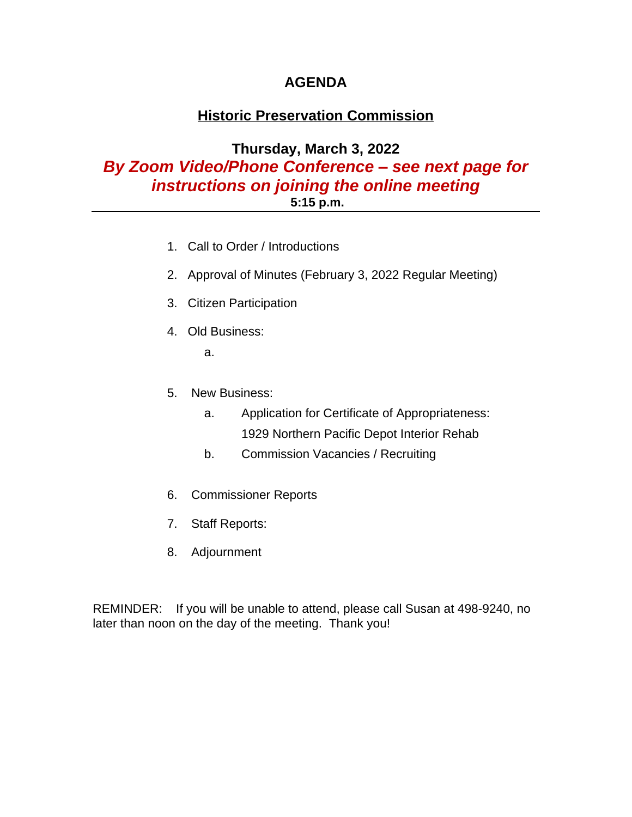## **AGENDA**

# **Historic Preservation Commission**

## **Thursday, March 3, 2022** *By Zoom Video/Phone Conference – see next page for instructions on joining the online meeting* **5:15 p.m.**

- 1. Call to Order / Introductions
- 2. Approval of Minutes (February 3, 2022 Regular Meeting)
- 3. Citizen Participation
- 4. Old Business:

a.

- 5. New Business:
	- a. Application for Certificate of Appropriateness: 1929 Northern Pacific Depot Interior Rehab
	- b. Commission Vacancies / Recruiting
- 6. Commissioner Reports
- 7. Staff Reports:
- 8. Adjournment

REMINDER: If you will be unable to attend, please call Susan at 498-9240, no later than noon on the day of the meeting. Thank you!